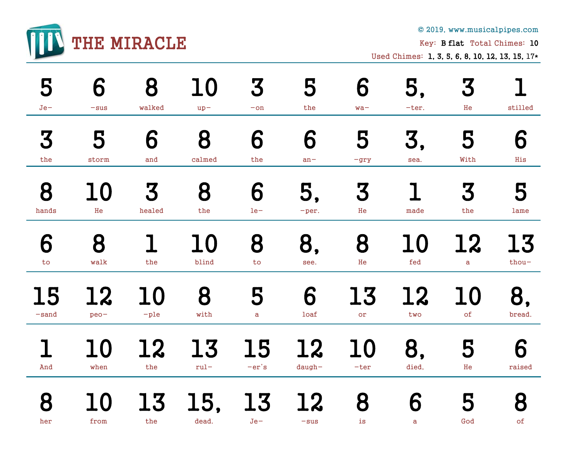

© 2019, www.musicalpipes.com

Key: B flat Total Chimes: 10

Used Chimes: 1, 3, 5, 6, 8, 10, 12, 13, 15, 17\*

| 5         | 6         | 8      | 10        | 3                       | 5         | 6      | 5,    | 3         | stilled   |
|-----------|-----------|--------|-----------|-------------------------|-----------|--------|-------|-----------|-----------|
| $Je-$     | $-sus$    | walked | $up-$     | $-\mathop{\mathrm{on}}$ | the       | $wa -$ | -ter. | He        |           |
| 3         | 5         | 6      | 8         | 6                       | 6         | 5      | 3,    | 5         | 6         |
| the       | storm     | and    | calmed    | the                     | $an -$    | $-gry$ | sea.  | With      | His       |
| 8         | 10        | 3      | 8         | 6                       | 5,        | 3      | made  | 3         | 5         |
| hands     | He        | healed | the       | $1e-$                   | -per.     | He     |       | the       | lame      |
| 6         | 8         | the    | 10        | 8                       | 8,        | 8      | 10    | 12        | <b>13</b> |
| to        | walk      |        | blind     | to                      | see.      | He     | fed   | a         | thou-     |
| <b>15</b> | <b>12</b> | 10     | 8         | 5                       | 6         | 13     | 12    | 10        | 8,        |
| $-sand$   | $peo-$    | $-ple$ | with      | a                       | loaf      | or     | two   | $\circ f$ | bread.    |
| 1         | 10        | 12     | <b>13</b> | 15                      | <b>12</b> | 10     | 8,    | 5         | 6         |
| And       | when      | the    | $rul -$   | $-er's$                 | $d$ augh- | $-ter$ | died, | He        | raised    |
| 8         | 10        | 13     | 15,       | 13                      | 12        | 8      | 6     | 5         | 8         |
| her       | from      | the    | dead.     | $Je -$                  | $-sus$    | is     | a     | God       | of        |